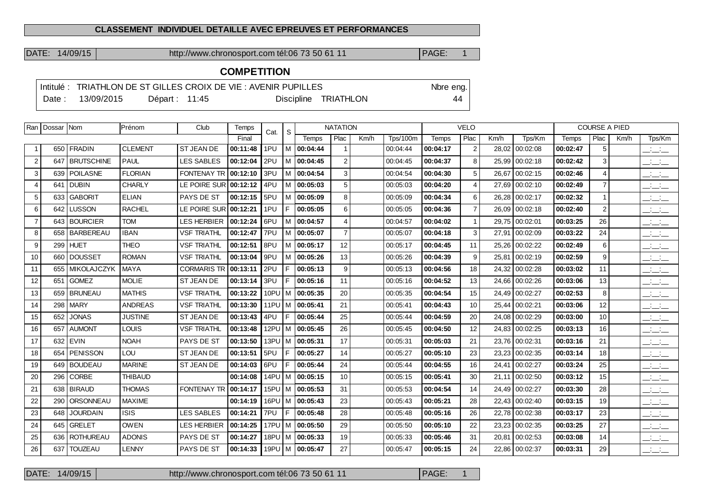#### **CLASSEMENT INDIVIDUEL DETAILLE AVEC EPREUVES ET PERFORMANCES**

DATE: 14/09/15 http://www.chronosport.com tél:06 73 50 61 11 PAGE: 1

# **COMPETITION**

|                  |                | Intitulé : TRIATHLON DE ST GILLES CROIX DE VIE : AVENIR PUPILLES |                      | Nbre eng. |
|------------------|----------------|------------------------------------------------------------------|----------------------|-----------|
| Date: 13/09/2015 | Départ : 11:45 |                                                                  | Discipline TRIATHLON | 44        |

| Ran I          | Dossar Nom |                   | Prénom         | Club               | Temps    | Cat. | S.  |                      | <b>NATATION</b> |      |                 |          | <b>VELO</b>    |       |                |          | <b>COURSE A PIED</b> |      |                                           |
|----------------|------------|-------------------|----------------|--------------------|----------|------|-----|----------------------|-----------------|------|-----------------|----------|----------------|-------|----------------|----------|----------------------|------|-------------------------------------------|
|                |            |                   |                |                    | Final    |      |     | Temps                | Plac            | Km/h | <b>Tps/100m</b> | Temps    | Plac           | Km/h  | Tps/Km         | Temps    | Plac                 | Km/h | Tps/Km                                    |
|                | 650        | <b>FRADIN</b>     | <b>CLEMENT</b> | <b>ST JEAN DE</b>  | 00:11:48 | 1PU  |     | M   00:04:44         |                 |      | 00:04:44        | 00:04:17 | $\overline{2}$ | 28,02 | 00:02:08       | 00:02:47 | 5                    |      | $  -$                                     |
| $\overline{2}$ | 647        | <b>BRUTSCHINE</b> | <b>PAUL</b>    | <b>LES SABLES</b>  | 00:12:04 | 2PU  |     | M   00:04:45         | $\overline{2}$  |      | 00:04:45        | 00:04:37 | 8              | 25,99 | 00:02:18       | 00:02:42 | 3                    |      | <b>Contract</b><br>---                    |
| 3              | 639        | <b>POILASNE</b>   | <b>FLORIAN</b> | <b>FONTENAY TR</b> | 00:12:10 | 3PU  |     | M 00:04:54           | 3               |      | 00:04:54        | 00:04:30 | 5              | 26,67 | 00:02:15       | 00:02:46 | $\overline{4}$       |      | $\frac{1}{2}$ and $\frac{1}{2}$           |
| $\overline{4}$ | 641        | <b>DUBIN</b>      | <b>CHARLY</b>  | LE POIRE SUR       | 00:12:12 | 4PU  |     | $M$ 00:05:03         | 5               |      | 00:05:03        | 00:04:20 | $\overline{4}$ | 27,69 | 00:02:10       | 00:02:49 | $\overline{7}$       |      | <b>Service</b><br>$  -$                   |
| 5              | 633        | <b>GABORIT</b>    | <b>ELIAN</b>   | PAYS DE ST         | 00:12:15 | 5PU  |     | $M$ 00:05:09         | 8               |      | 00:05:09        | 00:04:34 | 6              | 26,28 | 00:02:17       | 00:02:32 | $\overline{1}$       |      | <b>Service</b><br>$  -$                   |
| 6              | 642        | <b>LUSSON</b>     | <b>RACHEL</b>  | LE POIRE SUR       | 00:12:21 | 1PU  | F   | 00:05:05             | 6               |      | 00:05:05        | 00:04:36 | $\overline{7}$ | 26,09 | 00:02:18       | 00:02:40 | $\overline{2}$       |      | $\frac{1}{2}$ $\frac{1}{2}$ $\frac{1}{2}$ |
| $\overline{7}$ | 643        | <b>BOURCIER</b>   | <b>TOM</b>     | <b>LES HERBIER</b> | 00:12:24 | 6PU  |     | M 00:04:57           | $\overline{4}$  |      | 00:04:57        | 00:04:02 | $\mathbf{1}$   | 29.75 | 00:02:01       | 00:03:25 | 26                   |      | <b>Service</b><br>$  -$                   |
| 8              | 658        | <b>BARBEREAU</b>  | <b>IBAN</b>    | <b>VSF TRIATHL</b> | 00:12:47 | 7PU  |     | M   00:05:07         | $\overline{7}$  |      | 00:05:07        | 00:04:18 | 3              | 27,91 | 00:02:09       | 00:03:22 | 24                   |      | $\overline{\phantom{a}}$                  |
| 9              | 299        | <b>HUET</b>       | <b>THEO</b>    | <b>VSF TRIATHL</b> | 00:12:51 | 8PU  |     | M 00:05:17           | 12              |      | 00:05:17        | 00:04:45 | 11             | 25,26 | 00:02:22       | 00:02:49 | 6                    |      | $\frac{1}{2}$ and $\frac{1}{2}$           |
| 10             | 660        | <b>DOUSSET</b>    | <b>ROMAN</b>   | <b>VSF TRIATHL</b> | 00:13:04 | 9PU  |     | M 00:05:26           | 13              |      | 00:05:26        | 00:04:39 | 9              | 25,81 | 00:02:19       | 00:02:59 | 9                    |      | <b>Contract</b><br>$  -$                  |
| 11             | 655        | MIKOLAJCZYK       | <b>MAYA</b>    | <b>CORMARIS TR</b> | 00:13:11 | 2PU  | F   | 00:05:13             | 9               |      | 00:05:13        | 00:04:56 | 18             | 24,32 | 00:02:28       | 00:03:02 | 11                   |      | بالبياني                                  |
| 12             | 651        | <b>GOMEZ</b>      | <b>MOLIE</b>   | ST JEAN DE         | 00:13:14 | 3PU  | F   | 00:05:16             | 11              |      | 00:05:16        | 00:04:52 | 13             | 24,66 | 00:02:26       | 00:03:06 | 13                   |      | $\frac{1}{2}$ $\frac{1}{2}$ $\frac{1}{2}$ |
| 13             | 659        | <b>BRUNEAU</b>    | <b>MATHIS</b>  | <b>VSF TRIATHL</b> | 00:13:22 | 10PU | l M | 00:05:35             | 20              |      | 00:05:35        | 00:04:54 | 15             | 24.49 | 00:02:27       | 00:02:53 | 8                    |      | <b>Service</b><br>— — —                   |
| 14             | 298        | <b>MARY</b>       | <b>ANDREAS</b> | <b>VSF TRIATHL</b> | 00:13:30 |      |     | 11PU M   00:05:41    | 21              |      | 00:05:41        | 00:04:43 | 10             | 25,44 | 00:02:21       | 00:03:06 | 12                   |      | $\overline{\phantom{a}}$                  |
| 15             | 652        | <b>JONAS</b>      | <b>JUSTINE</b> | ST JEAN DE         | 00:13:43 | 4PU  | F   | 00:05:44             | 25              |      | 00:05:44        | 00:04:59 | 20             | 24,08 | 00:02:29       | 00:03:00 | 10                   |      | $\overline{\phantom{a}}$                  |
| 16             | 657        | <b>AUMONT</b>     | <b>LOUIS</b>   | <b>VSF TRIATHL</b> | 00:13:48 |      |     | 12PU   M   00:05:45  | 26              |      | 00:05:45        | 00:04:50 | 12             | 24,83 | 00:02:25       | 00:03:13 | 16                   |      | <b>Service</b><br>$  -$                   |
| 17             | 632        | <b>EVIN</b>       | <b>NOAH</b>    | PAYS DE ST         | 00:13:50 |      |     | 13PU   M   00:05:31  | 17              |      | 00:05:31        | 00:05:03 | 21             | 23,76 | 00:02:31       | 00:03:16 | 21                   |      | <b>Service</b><br>$  -$                   |
| 18             | 654        | <b>PENISSON</b>   | LOU            | <b>ST JEAN DE</b>  | 00:13:51 | 5PU  | F   | 00:05:27             | 14              |      | 00:05:27        | 00:05:10 | 23             | 23,23 | 00:02:35       | 00:03:14 | 18                   |      | $ -$                                      |
| 19             | 649        | <b>BOUDEAU</b>    | <b>MARINE</b>  | <b>ST JEAN DE</b>  | 00:14:03 | 6PU  | F   | 00:05:44             | 24              |      | 00:05:44        | 00:04:55 | 16             | 24.41 | 00:02:27       | 00:03:24 | 25                   |      | <b>Contract Contract</b><br>— — —         |
| 20             | 296        | <b>CORBE</b>      | <b>THIBAUD</b> |                    | 00:14:08 |      |     | 14PU   M   00:05:15  | 10              |      | 00:05:15        | 00:05:41 | 30             | 21,11 | 00:02:50       | 00:03:12 | 15                   |      | $\overline{\phantom{a}}$                  |
| 21             | 638        | <b>BIRAUD</b>     | <b>THOMAS</b>  | <b>FONTENAY TR</b> | 00:14:17 |      |     | $15PU$ M $ 00:05:53$ | 31              |      | 00:05:53        | 00:04:54 | 14             | 24,49 | 00:02:27       | 00:03:30 | 28                   |      | $\frac{1}{2}$ $\frac{1}{2}$ $\frac{1}{2}$ |
| 22             | 290        | ORSONNEAU         | <b>MAXIME</b>  |                    | 00:14:19 | 16PU |     | $ M $ 00:05:43       | 23              |      | 00:05:43        | 00:05:21 | 28             | 22,43 | 00:02:40       | 00:03:15 | 19                   |      | <b>Contract</b><br>$  -$                  |
| 23             | 648        | <b>JOURDAIN</b>   | <b>ISIS</b>    | <b>LES SABLES</b>  | 00:14:21 | 7PU  | F   | 00:05:48             | 28              |      | 00:05:48        | 00:05:16 | 26             | 22,78 | 00:02:38       | 00:03:17 | 23                   |      | $  -$                                     |
| 24             | 645        | <b>GRELET</b>     | <b>OWEN</b>    | <b>LES HERBIER</b> | 00:14:25 |      |     | 17PU   M   00:05:50  | 29              |      | 00:05:50        | 00:05:10 | 22             | 23,23 | 00:02:35       | 00:03:25 | 27                   |      | $ -$                                      |
| 25             | 636        | <b>ROTHUREAU</b>  | <b>ADONIS</b>  | PAYS DE ST         | 00:14:27 |      |     | 18PU   M   00:05:33  | 19              |      | 00:05:33        | 00:05:46 | 31             | 20,81 | 00:02:53       | 00:03:08 | 14                   |      | <b>Contract Contract</b><br>$  -$         |
| 26             | 637        | TOUZEAU           | <b>LENNY</b>   | PAYS DE ST         | 00:14:33 |      |     | 19PU   M   00:05:47  | 27              |      | 00:05:47        | 00:05:15 | 24             |       | 22,86 00:02:37 | 00:03:31 | 29                   |      | $ -$                                      |

DATE: 14/09/15 http://www.chronosport.com tél:06 73 50 61 11 PAGE: 1